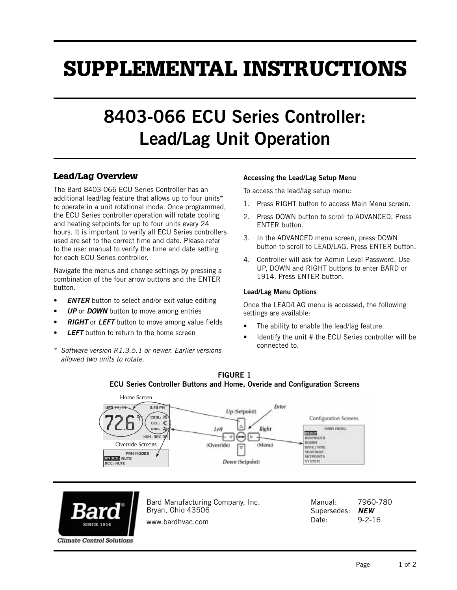# SUPPLEMENTAL INSTRUCTIONS

## 8403-066 ECU Series Controller: Lead/Lag Unit Operation

### Lead/Lag Overview

The Bard 8403-066 ECU Series Controller has an additional lead/lag feature that allows up to four units\* to operate in a unit rotational mode. Once programmed, the ECU Series controller operation will rotate cooling and heating setpoints for up to four units every 24 hours. It is important to verify all ECU Series controllers used are set to the correct time and date. Please refer to the user manual to verify the time and date setting for each ECU Series controller.

Navigate the menus and change settings by pressing a combination of the four arrow buttons and the ENTER button.

- *ENTER* button to select and/or exit value editing
- *UP* or *DOWN* button to move among entries
- *RIGHT* or *LEFT* button to move among value fields
- **LEFT** button to return to the home screen
- \* *Software version R1.3.5.1 or newer. Earlier versions allowed two units to rotate.*

#### Accessing the Lead/Lag Setup Menu

To access the lead/lag setup menu:

- 1. Press RIGHT button to access Main Menu screen.
- 2. Press DOWN button to scroll to ADVANCED. Press ENTER button.
- 3. In the ADVANCED menu screen, press DOWN button to scroll to LEAD/LAG. Press ENTER button.
- 4. Controller will ask for Admin Level Password. Use UP, DOWN and RIGHT buttons to enter BARD or 1914. Press ENTER button.

#### Lead/Lag Menu Options

Once the LEAD/LAG menu is accessed, the following settings are available:

- The ability to enable the lead/lag feature.
- Identify the unit # the ECU Series controller will be connected to.





Bard Manufacturing Company, Inc. Bryan, Ohio 43506 www.bardhvac.com

Manual: 7960-780 Supersedes: *NEW* Date: 9-2-16